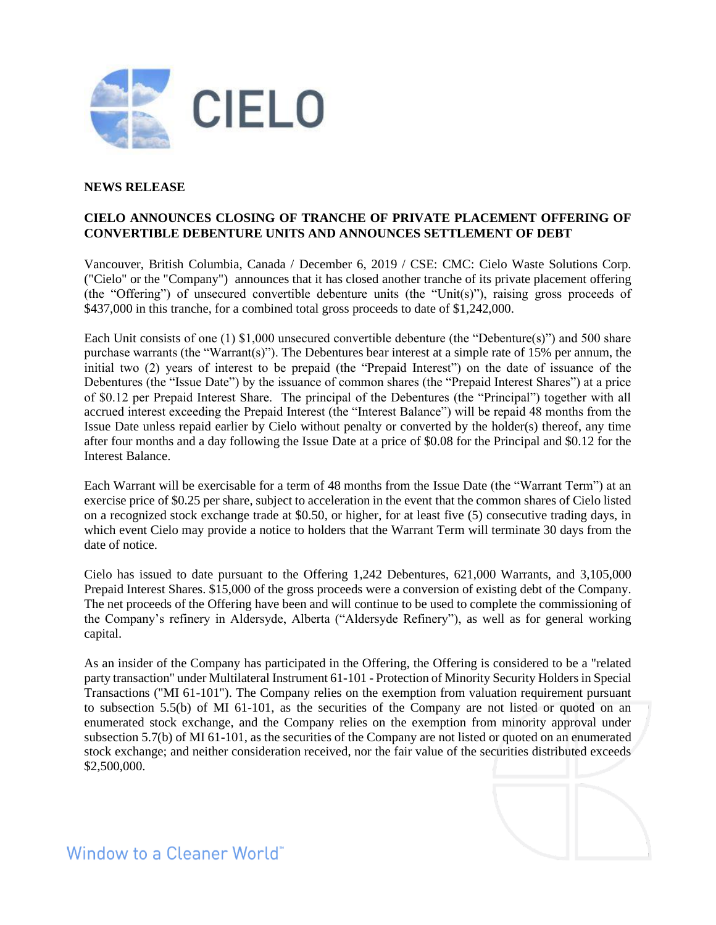

# **NEWS RELEASE**

# **CIELO ANNOUNCES CLOSING OF TRANCHE OF PRIVATE PLACEMENT OFFERING OF CONVERTIBLE DEBENTURE UNITS AND ANNOUNCES SETTLEMENT OF DEBT**

Vancouver, British Columbia, Canada / December 6, 2019 / CSE: CMC: Cielo Waste Solutions Corp. ("Cielo" or the "Company") announces that it has closed another tranche of its private placement offering (the "Offering") of unsecured convertible debenture units (the "Unit(s)"), raising gross proceeds of \$437,000 in this tranche, for a combined total gross proceeds to date of \$1,242,000.

Each Unit consists of one (1) \$1,000 unsecured convertible debenture (the "Debenture(s)") and 500 share purchase warrants (the "Warrant(s)"). The Debentures bear interest at a simple rate of 15% per annum, the initial two (2) years of interest to be prepaid (the "Prepaid Interest") on the date of issuance of the Debentures (the "Issue Date") by the issuance of common shares (the "Prepaid Interest Shares") at a price of \$0.12 per Prepaid Interest Share. The principal of the Debentures (the "Principal") together with all accrued interest exceeding the Prepaid Interest (the "Interest Balance") will be repaid 48 months from the Issue Date unless repaid earlier by Cielo without penalty or converted by the holder(s) thereof, any time after four months and a day following the Issue Date at a price of \$0.08 for the Principal and \$0.12 for the Interest Balance.

Each Warrant will be exercisable for a term of 48 months from the Issue Date (the "Warrant Term") at an exercise price of \$0.25 per share, subject to acceleration in the event that the common shares of Cielo listed on a recognized stock exchange trade at \$0.50, or higher, for at least five (5) consecutive trading days, in which event Cielo may provide a notice to holders that the Warrant Term will terminate 30 days from the date of notice.

Cielo has issued to date pursuant to the Offering 1,242 Debentures, 621,000 Warrants, and 3,105,000 Prepaid Interest Shares. \$15,000 of the gross proceeds were a conversion of existing debt of the Company. The net proceeds of the Offering have been and will continue to be used to complete the commissioning of the Company's refinery in Aldersyde, Alberta ("Aldersyde Refinery"), as well as for general working capital.

As an insider of the Company has participated in the Offering, the Offering is considered to be a "related party transaction" under Multilateral Instrument 61-101 - Protection of Minority Security Holders in Special Transactions ("MI 61-101"). The Company relies on the exemption from valuation requirement pursuant to subsection 5.5(b) of MI 61-101, as the securities of the Company are not listed or quoted on an enumerated stock exchange, and the Company relies on the exemption from minority approval under subsection 5.7(b) of MI 61-101, as the securities of the Company are not listed or quoted on an enumerated stock exchange; and neither consideration received, nor the fair value of the securities distributed exceeds \$2,500,000.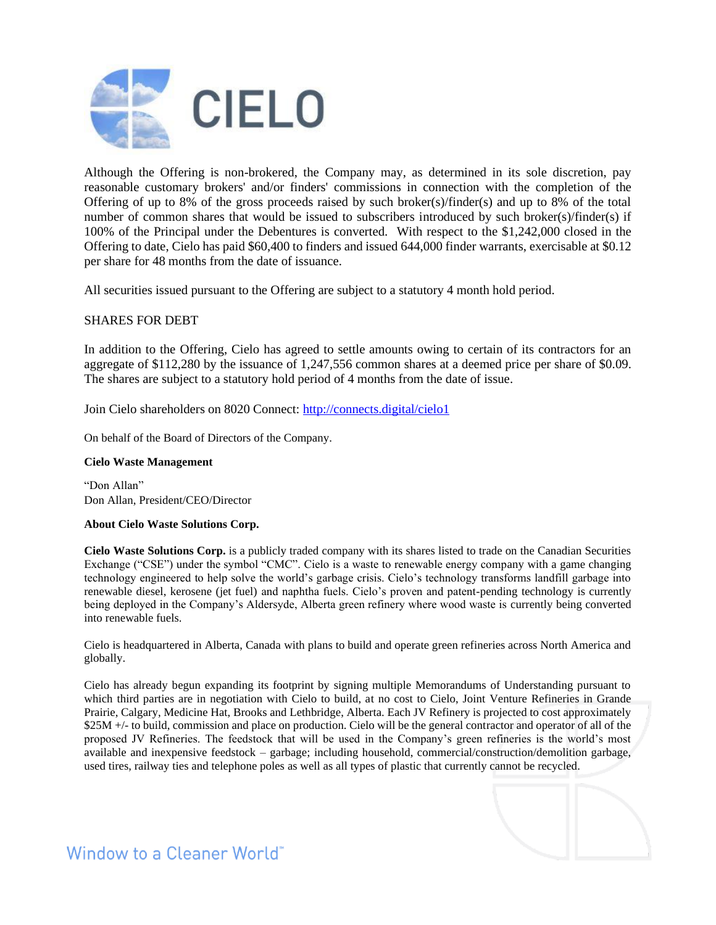

Although the Offering is non-brokered, the Company may, as determined in its sole discretion, pay reasonable customary brokers' and/or finders' commissions in connection with the completion of the Offering of up to 8% of the gross proceeds raised by such broker(s)/finder(s) and up to 8% of the total number of common shares that would be issued to subscribers introduced by such broker(s)/finder(s) if 100% of the Principal under the Debentures is converted. With respect to the \$1,242,000 closed in the Offering to date, Cielo has paid \$60,400 to finders and issued 644,000 finder warrants, exercisable at \$0.12 per share for 48 months from the date of issuance.

All securities issued pursuant to the Offering are subject to a statutory 4 month hold period.

## SHARES FOR DEBT

In addition to the Offering, Cielo has agreed to settle amounts owing to certain of its contractors for an aggregate of \$112,280 by the issuance of 1,247,556 common shares at a deemed price per share of \$0.09. The shares are subject to a statutory hold period of 4 months from the date of issue.

Join Cielo shareholders on 8020 Connect:<http://connects.digital/cielo1>

On behalf of the Board of Directors of the Company.

### **Cielo Waste Management**

"Don Allan" Don Allan, President/CEO/Director

#### **About Cielo Waste Solutions Corp.**

**Cielo Waste Solutions Corp.** is a publicly traded company with its shares listed to trade on the Canadian Securities Exchange ("CSE") under the symbol "CMC". Cielo is a waste to renewable energy company with a game changing technology engineered to help solve the world's garbage crisis. Cielo's technology transforms landfill garbage into renewable diesel, kerosene (jet fuel) and naphtha fuels. Cielo's proven and patent-pending technology is currently being deployed in the Company's Aldersyde, Alberta green refinery where wood waste is currently being converted into renewable fuels.

Cielo is headquartered in Alberta, Canada with plans to build and operate green refineries across North America and globally.

Cielo has already begun expanding its footprint by signing multiple Memorandums of Understanding pursuant to which third parties are in negotiation with Cielo to build, at no cost to Cielo, Joint Venture Refineries in Grande Prairie, Calgary, Medicine Hat, Brooks and Lethbridge, Alberta. Each JV Refinery is projected to cost approximately \$25M +/- to build, commission and place on production. Cielo will be the general contractor and operator of all of the proposed JV Refineries. The feedstock that will be used in the Company's green refineries is the world's most available and inexpensive feedstock – garbage; including household, commercial/construction/demolition garbage, used tires, railway ties and telephone poles as well as all types of plastic that currently cannot be recycled.